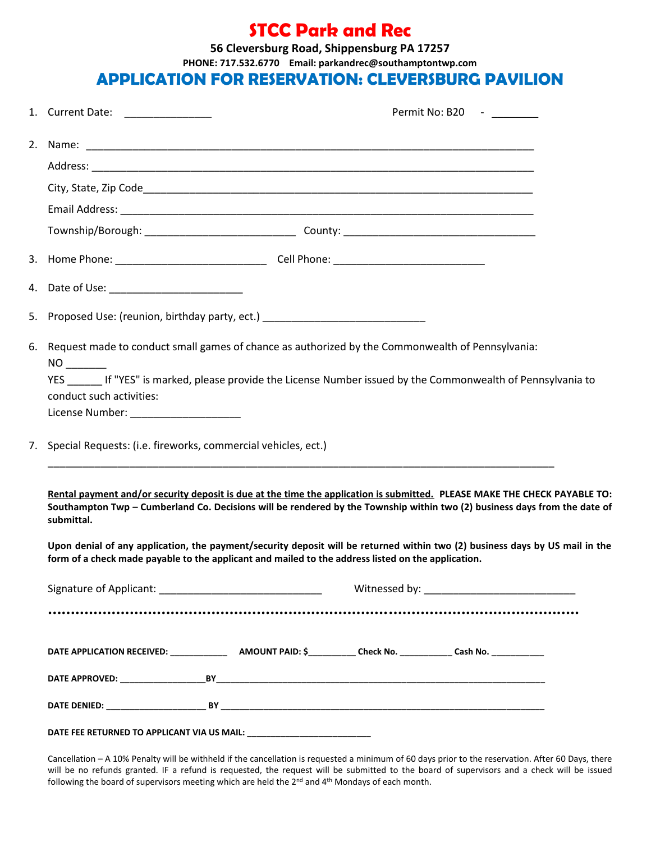### **STCC Park and Rec**

**56 Cleversburg Road, Shippensburg PA 17257**

**PHONE: 717.532.6770 Email: parkandrec@southamptontwp.com**

#### APPLICATION FOR RESERVATION: **CLEVERSBURG PAVILION**

|  | 1. Current Date: ________________                                                                                                                                                                                                                                    |  |  | Permit No: B20 - |  |
|--|----------------------------------------------------------------------------------------------------------------------------------------------------------------------------------------------------------------------------------------------------------------------|--|--|------------------|--|
|  |                                                                                                                                                                                                                                                                      |  |  |                  |  |
|  |                                                                                                                                                                                                                                                                      |  |  |                  |  |
|  |                                                                                                                                                                                                                                                                      |  |  |                  |  |
|  |                                                                                                                                                                                                                                                                      |  |  |                  |  |
|  |                                                                                                                                                                                                                                                                      |  |  |                  |  |
|  |                                                                                                                                                                                                                                                                      |  |  |                  |  |
|  | 4. Date of Use: ___________________________                                                                                                                                                                                                                          |  |  |                  |  |
|  | 5. Proposed Use: (reunion, birthday party, ect.) _______________________________                                                                                                                                                                                     |  |  |                  |  |
|  | 6. Request made to conduct small games of chance as authorized by the Commonwealth of Pennsylvania:                                                                                                                                                                  |  |  |                  |  |
|  | YES If "YES" is marked, please provide the License Number issued by the Commonwealth of Pennsylvania to<br>conduct such activities:<br>License Number: _____________________                                                                                         |  |  |                  |  |
|  | 7. Special Requests: (i.e. fireworks, commercial vehicles, ect.)                                                                                                                                                                                                     |  |  |                  |  |
|  | Rental payment and/or security deposit is due at the time the application is submitted. PLEASE MAKE THE CHECK PAYABLE TO:<br>Southampton Twp - Cumberland Co. Decisions will be rendered by the Township within two (2) business days from the date of<br>submittal. |  |  |                  |  |
|  | Upon denial of any application, the payment/security deposit will be returned within two (2) business days by US mail in the<br>form of a check made payable to the applicant and mailed to the address listed on the application.                                   |  |  |                  |  |
|  |                                                                                                                                                                                                                                                                      |  |  |                  |  |
|  |                                                                                                                                                                                                                                                                      |  |  |                  |  |
|  |                                                                                                                                                                                                                                                                      |  |  |                  |  |
|  |                                                                                                                                                                                                                                                                      |  |  |                  |  |
|  |                                                                                                                                                                                                                                                                      |  |  |                  |  |
|  |                                                                                                                                                                                                                                                                      |  |  |                  |  |

Cancellation – A 10% Penalty will be withheld if the cancellation is requested a minimum of 60 days prior to the reservation. After 60 Days, there will be no refunds granted. IF a refund is requested, the request will be submitted to the board of supervisors and a check will be issued following the board of supervisors meeting which are held the 2<sup>nd</sup> and 4<sup>th</sup> Mondays of each month.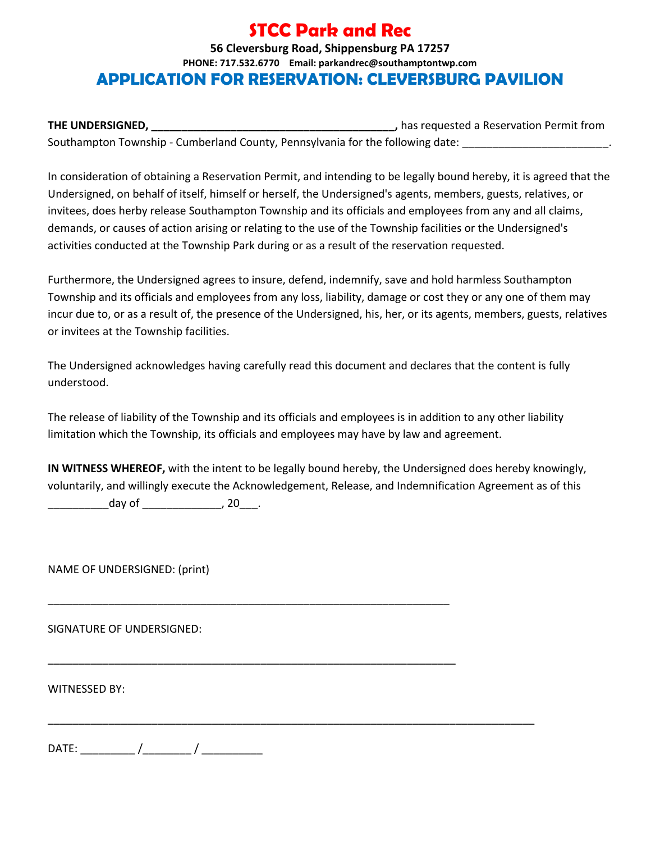## **STCC Park and Rec**

#### **56 Cleversburg Road, Shippensburg PA 17257 PHONE: 717.532.6770 Email: parkandrec@southamptontwp.com** APPLICATION FOR RESERVATION: **CLEVERSBURG PAVILION**

**THE UNDERSIGNED, THE UNDERSIGNED, Alternative State of the Control of the Control of the Control of the Control of the Control of the Control of the Control of the Control of the Control of the Control of the Control of t** Southampton Township - Cumberland County, Pennsylvania for the following date:

In consideration of obtaining a Reservation Permit, and intending to be legally bound hereby, it is agreed that the Undersigned, on behalf of itself, himself or herself, the Undersigned's agents, members, guests, relatives, or invitees, does herby release Southampton Township and its officials and employees from any and all claims, demands, or causes of action arising or relating to the use of the Township facilities or the Undersigned's activities conducted at the Township Park during or as a result of the reservation requested.

Furthermore, the Undersigned agrees to insure, defend, indemnify, save and hold harmless Southampton Township and its officials and employees from any loss, liability, damage or cost they or any one of them may incur due to, or as a result of, the presence of the Undersigned, his, her, or its agents, members, guests, relatives or invitees at the Township facilities.

The Undersigned acknowledges having carefully read this document and declares that the content is fully understood.

The release of liability of the Township and its officials and employees is in addition to any other liability limitation which the Township, its officials and employees may have by law and agreement.

**IN WITNESS WHEREOF,** with the intent to be legally bound hereby, the Undersigned does hereby knowingly, voluntarily, and willingly execute the Acknowledgement, Release, and Indemnification Agreement as of this  $\Delta$  day of  $\Delta$  and  $\Delta$  , 20  $\Delta$  .

\_\_\_\_\_\_\_\_\_\_\_\_\_\_\_\_\_\_\_\_\_\_\_\_\_\_\_\_\_\_\_\_\_\_\_\_\_\_\_\_\_\_\_\_\_\_\_\_\_\_\_\_\_\_\_\_\_\_\_\_\_\_\_\_\_\_

\_\_\_\_\_\_\_\_\_\_\_\_\_\_\_\_\_\_\_\_\_\_\_\_\_\_\_\_\_\_\_\_\_\_\_\_\_\_\_\_\_\_\_\_\_\_\_\_\_\_\_\_\_\_\_\_\_\_\_\_\_\_\_\_\_\_\_

\_\_\_\_\_\_\_\_\_\_\_\_\_\_\_\_\_\_\_\_\_\_\_\_\_\_\_\_\_\_\_\_\_\_\_\_\_\_\_\_\_\_\_\_\_\_\_\_\_\_\_\_\_\_\_\_\_\_\_\_\_\_\_\_\_\_\_\_\_\_\_\_\_\_\_\_\_\_\_\_

NAME OF UNDERSIGNED: (print)

SIGNATURE OF UNDERSIGNED:

WITNESSED BY:

DATE: \_\_\_\_\_\_\_\_\_ /\_\_\_\_\_\_\_\_ / \_\_\_\_\_\_\_\_\_\_